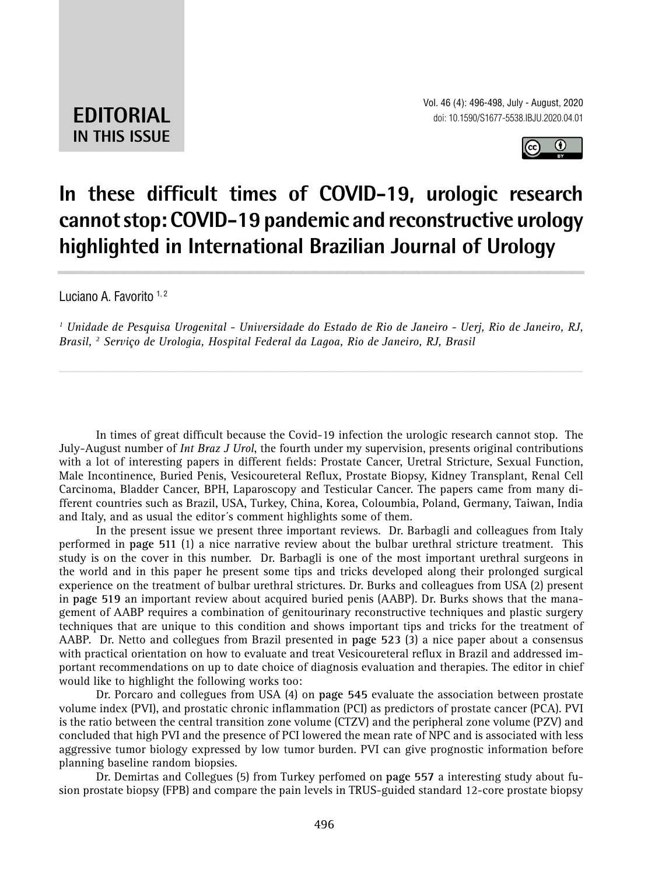**EDITORIAL IN THIS ISSUE**



## **In these difficult times of COVID-19, urologic research cannot stop: COVID-19 pandemic and reconstructive urology highlighted in International Brazilian Journal of Urology \_\_\_\_\_\_\_\_\_\_\_\_\_\_\_\_\_\_\_\_\_\_\_\_\_\_\_\_\_\_\_\_\_\_\_\_\_\_\_\_\_\_\_\_\_\_\_**

Luciano A. Favorito 1,2

*1 Unidade de Pesquisa Urogenital - Universidade do Estado de Rio de Janeiro - Uerj, Rio de Janeiro, RJ, Brasil, 2 Serviço de Urologia, Hospital Federal da Lagoa, Rio de Janeiro, RJ, Brasil*

*\_\_\_\_\_\_\_\_\_\_\_\_\_\_\_\_\_\_\_\_\_\_\_\_\_\_\_\_\_\_\_\_\_\_\_\_\_\_\_\_\_\_\_\_\_\_\_\_\_\_\_\_\_\_\_\_\_\_\_\_\_\_\_\_\_\_\_\_\_\_\_\_\_\_\_\_\_\_\_\_\_\_\_\_\_\_\_*

In times of great difficult because the Covid-19 infection the urologic research cannot stop. The July-August number of *Int Braz J Urol*, the fourth under my supervision, presents original contributions with a lot of interesting papers in different fields: Prostate Cancer, Uretral Stricture, Sexual Function, Male Incontinence, Buried Penis, Vesicoureteral Reflux, Prostate Biopsy, Kidney Transplant, Renal Cell Carcinoma, Bladder Cancer, BPH, Laparoscopy and Testicular Cancer. The papers came from many different countries such as Brazil, USA, Turkey, China, Korea, Coloumbia, Poland, Germany, Taiwan, India and Italy, and as usual the editor´s comment highlights some of them.

In the present issue we present three important reviews. Dr. Barbagli and colleagues from Italy performed in **page 511** (1) a nice narrative review about the bulbar urethral stricture treatment. This study is on the cover in this number. Dr. Barbagli is one of the most important urethral surgeons in the world and in this paper he present some tips and tricks developed along their prolonged surgical experience on the treatment of bulbar urethral strictures. Dr. Burks and colleagues from USA (2) present in **page 519** an important review about acquired buried penis (AABP). Dr. Burks shows that the management of AABP requires a combination of genitourinary reconstructive techniques and plastic surgery techniques that are unique to this condition and shows important tips and tricks for the treatment of AABP. Dr. Netto and collegues from Brazil presented in **page 523** (3) a nice paper about a consensus with practical orientation on how to evaluate and treat Vesicoureteral reflux in Brazil and addressed important recommendations on up to date choice of diagnosis evaluation and therapies. The editor in chief would like to highlight the following works too:

Dr. Porcaro and collegues from USA (4) on **page 545** evaluate the association between prostate volume index (PVI), and prostatic chronic inflammation (PCI) as predictors of prostate cancer (PCA). PVI is the ratio between the central transition zone volume (CTZV) and the peripheral zone volume (PZV) and concluded that high PVI and the presence of PCI lowered the mean rate of NPC and is associated with less aggressive tumor biology expressed by low tumor burden. PVI can give prognostic information before planning baseline random biopsies.

Dr. Demirtas and Collegues (5) from Turkey perfomed on **page 557** a interesting study about fusion prostate biopsy (FPB) and compare the pain levels in TRUS-guided standard 12-core prostate biopsy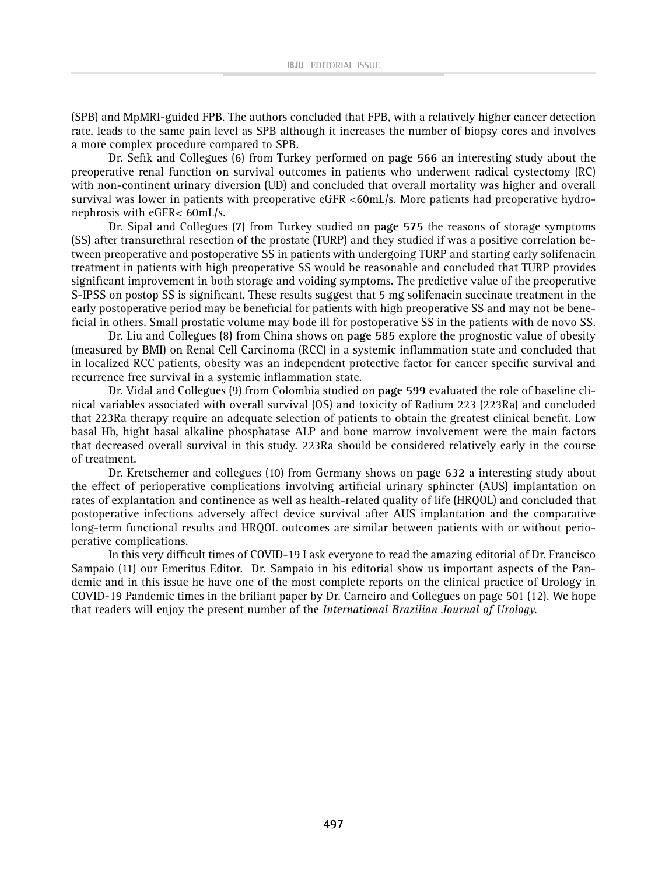(SPB) and MpMRI-guided FPB. The authors concluded that FPB, with a relatively higher cancer detection rate, leads to the same pain level as SPB although it increases the number of biopsy cores and involves a more complex procedure compared to SPB.

Dr. Sefik and Collegues (6) from Turkey performed on **page 566** an interesting study about the preoperative renal function on survival outcomes in patients who underwent radical cystectomy (RC) with non-continent urinary diversion (UD) and concluded that overall mortality was higher and overall survival was lower in patients with preoperative eGFR <60mL/s. More patients had preoperative hydronephrosis with eGFR< 60mL/s.

Dr. Sipal and Collegues (7) from Turkey studied on **page 575** the reasons of storage symptoms (SS) after transurethral resection of the prostate (TURP) and they studied if was a positive correlation between preoperative and postoperative SS in patients with undergoing TURP and starting early solifenacin treatment in patients with high preoperative SS would be reasonable and concluded that TURP provides significant improvement in both storage and voiding symptoms. The predictive value of the preoperative S-IPSS on postop SS is significant. These results suggest that 5 mg solifenacin succinate treatment in the early postoperative period may be beneficial for patients with high preoperative SS and may not be beneficial in others. Small prostatic volume may bode ill for postoperative SS in the patients with de novo SS.

Dr. Liu and Collegues (8) from China shows on **page 585** explore the prognostic value of obesity (measured by BMI) on Renal Cell Carcinoma (RCC) in a systemic inflammation state and concluded that in localized RCC patients, obesity was an independent protective factor for cancer specific survival and recurrence free survival in a systemic inflammation state.

Dr. Vidal and Collegues (9) from Colombia studied on **page 599** evaluated the role of baseline clinical variables associated with overall survival (OS) and toxicity of Radium 223 (223Ra) and concluded that 223Ra therapy require an adequate selection of patients to obtain the greatest clinical benefit. Low basal Hb, hight basal alkaline phosphatase ALP and bone marrow involvement were the main factors that decreased overall survival in this study. 223Ra should be considered relatively early in the course of treatment.

Dr. Kretschemer and collegues (10) from Germany shows on **page 632** a interesting study about the effect of perioperative complications involving artificial urinary sphincter (AUS) implantation on rates of explantation and continence as well as health-related quality of life (HRQOL) and concluded that postoperative infections adversely affect device survival after AUS implantation and the comparative long-term functional results and HRQOL outcomes are similar between patients with or without perioperative complications.

In this very difficult times of COVID-19 I ask everyone to read the amazing editorial of Dr. Francisco Sampaio (11) our Emeritus Editor. Dr. Sampaio in his editorial show us important aspects of the Pandemic and in this issue he have one of the most complete reports on the clinical practice of Urology in COVID-19 Pandemic times in the briliant paper by Dr. Carneiro and Collegues on page 501 (12). We hope that readers will enjoy the present number of the *International Brazilian Journal of Urology.*